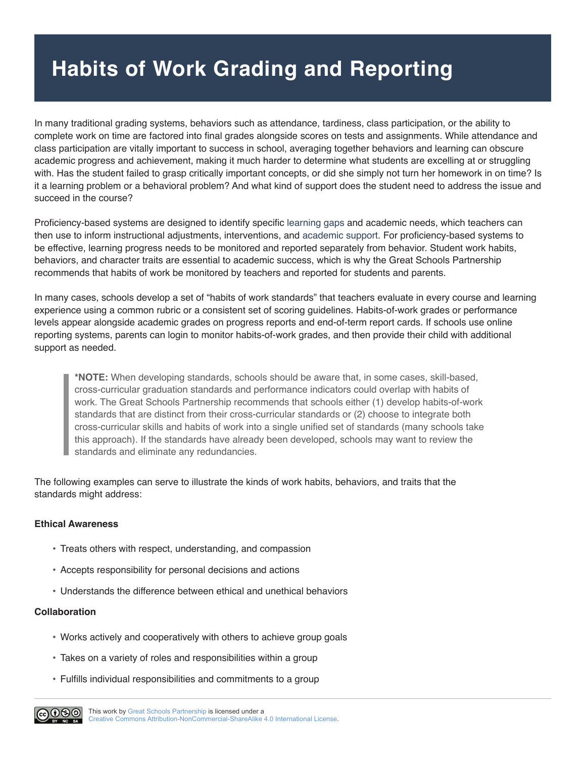## **Habits of Work Grading and Reporting**

In many traditional grading systems, behaviors such as attendance, tardiness, class participation, or the ability to complete work on time are factored into final grades alongside scores on tests and assignments. While attendance and class participation are vitally important to success in school, averaging together behaviors and learning can obscure academic progress and achievement, making it much harder to determine what students are excelling at or struggling with. Has the student failed to grasp critically important concepts, or did she simply not turn her homework in on time? Is it a learning problem or a behavioral problem? And what kind of support does the student need to address the issue and succeed in the course?

Proficiency-based systems are designed to identify specific [learning gaps](http://edglossary.org/learning-gap/) and academic needs, which teachers can then use to inform instructional adjustments, interventions, and [academic support](http://edglossary.org/academic-support/). For proficiency-based systems to be effective, learning progress needs to be monitored and reported separately from behavior. Student work habits, behaviors, and character traits are essential to academic success, which is why the Great Schools Partnership recommends that habits of work be monitored by teachers and reported for students and parents.

In many cases, schools develop a set of "habits of work standards" that teachers evaluate in every course and learning experience using a common rubric or a consistent set of scoring guidelines. Habits-of-work grades or performance levels appear alongside academic grades on progress reports and end-of-term report cards. If schools use online reporting systems, parents can login to monitor habits-of-work grades, and then provide their child with additional support as needed.

**\*NOTE:** When developing standards, schools should be aware that, in some cases, skill-based, cross-curricular graduation standards and performance indicators could overlap with habits of work. The Great Schools Partnership recommends that schools either (1) develop habits-of-work standards that are distinct from their cross-curricular standards or (2) choose to integrate both cross-curricular skills and habits of work into a single unified set of standards (many schools take this approach). If the standards have already been developed, schools may want to review the standards and eliminate any redundancies.

The following examples can serve to illustrate the kinds of work habits, behaviors, and traits that the standards might address:

## **Ethical Awareness**

- Treats others with respect, understanding, and compassion
- • Accepts responsibility for personal decisions and actions
- • Understands the difference between ethical and unethical behaviors

## **Collaboration**

- • Works actively and cooperatively with others to achieve group goals
- Takes on a variety of roles and responsibilities within a group
- • Fulfills individual responsibilities and commitments to a group